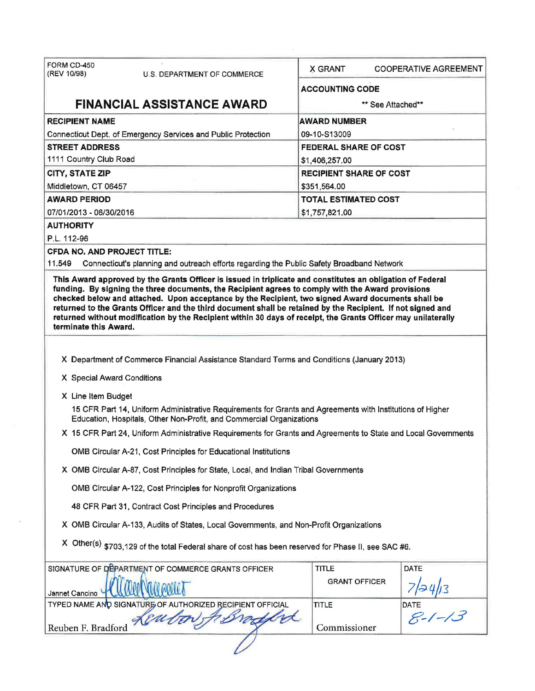| FORM CD-450<br>(REV 10/98)                                                                                                                                                                                                                                                                                                                                                                                                                                                                                                                                                    | U.S. DEPARTMENT OF COMMERCE                                                               | <b>X GRANT</b>                 | <b>COOPERATIVE AGREEMENT</b>     |  |  |
|-------------------------------------------------------------------------------------------------------------------------------------------------------------------------------------------------------------------------------------------------------------------------------------------------------------------------------------------------------------------------------------------------------------------------------------------------------------------------------------------------------------------------------------------------------------------------------|-------------------------------------------------------------------------------------------|--------------------------------|----------------------------------|--|--|
|                                                                                                                                                                                                                                                                                                                                                                                                                                                                                                                                                                               |                                                                                           | <b>ACCOUNTING CODE</b>         |                                  |  |  |
|                                                                                                                                                                                                                                                                                                                                                                                                                                                                                                                                                                               | <b>FINANCIAL ASSISTANCE AWARD</b>                                                         | ** See Attached**              |                                  |  |  |
| <b>RECIPIENT NAME</b>                                                                                                                                                                                                                                                                                                                                                                                                                                                                                                                                                         |                                                                                           | <b>AWARD NUMBER</b>            |                                  |  |  |
| Connecticut Dept. of Emergency Services and Public Protection                                                                                                                                                                                                                                                                                                                                                                                                                                                                                                                 |                                                                                           | 09-10-S13009                   |                                  |  |  |
| <b>STREET ADDRESS</b>                                                                                                                                                                                                                                                                                                                                                                                                                                                                                                                                                         |                                                                                           | FEDERAL SHARE OF COST          |                                  |  |  |
| 1111 Country Club Road                                                                                                                                                                                                                                                                                                                                                                                                                                                                                                                                                        |                                                                                           | \$1,406,257.00                 |                                  |  |  |
| <b>CITY, STATE ZIP</b>                                                                                                                                                                                                                                                                                                                                                                                                                                                                                                                                                        |                                                                                           | <b>RECIPIENT SHARE OF COST</b> |                                  |  |  |
| Middletown, CT 06457                                                                                                                                                                                                                                                                                                                                                                                                                                                                                                                                                          |                                                                                           | \$351,564.00                   |                                  |  |  |
| <b>AWARD PERIOD</b>                                                                                                                                                                                                                                                                                                                                                                                                                                                                                                                                                           |                                                                                           | <b>TOTAL ESTIMATED COST</b>    |                                  |  |  |
| 07/01/2013 - 06/30/2016                                                                                                                                                                                                                                                                                                                                                                                                                                                                                                                                                       |                                                                                           |                                | \$1,757,821.00                   |  |  |
| <b>AUTHORITY</b>                                                                                                                                                                                                                                                                                                                                                                                                                                                                                                                                                              |                                                                                           |                                |                                  |  |  |
| P.L. 112-96                                                                                                                                                                                                                                                                                                                                                                                                                                                                                                                                                                   |                                                                                           |                                |                                  |  |  |
| <b>CFDA NO. AND PROJECT TITLE:</b><br>11.549                                                                                                                                                                                                                                                                                                                                                                                                                                                                                                                                  | Connecticut's planning and outreach efforts regarding the Public Safety Broadband Network |                                |                                  |  |  |
| This Award approved by the Grants Officer is issued in triplicate and constitutes an obligation of Federal<br>funding. By signing the three documents, the Recipient agrees to comply with the Award provisions<br>checked below and attached. Upon acceptance by the Recipient, two signed Award documents shall be<br>returned to the Grants Officer and the third document shall be retained by the Recipient. If not signed and<br>returned without modification by the Recipient within 30 days of recelpt, the Grants Officer may unilaterally<br>terminate this Award. |                                                                                           |                                |                                  |  |  |
| X Department of Commerce Financial Assistance Standard Terms and Conditions (January 2013)<br>X Special Award Conditions<br>X Line Item Budget<br>15 CFR Part 14, Uniform Administrative Requirements for Grants and Agreements with Institutions of Higher<br>Education, Hospitals, Other Non-Profit, and Commercial Organizations<br>X 15 CFR Part 24, Uniform Administrative Requirements for Grants and Agreements to State and Local Governments<br>OMB Circular A-21, Cost Principles for Educational Institutions                                                      |                                                                                           |                                |                                  |  |  |
| X OMB Circular A-87, Cost Principles for State, Local, and Indian Tribal Governments                                                                                                                                                                                                                                                                                                                                                                                                                                                                                          |                                                                                           |                                |                                  |  |  |
| OMB Circular A-122, Cost Principles for Nonprofit Organizations                                                                                                                                                                                                                                                                                                                                                                                                                                                                                                               |                                                                                           |                                |                                  |  |  |
| 48 CFR Part 31, Contract Cost Principles and Procedures                                                                                                                                                                                                                                                                                                                                                                                                                                                                                                                       |                                                                                           |                                |                                  |  |  |
| X OMB Circular A-133, Audits of States, Local Governments, and Non-Profit Organizations                                                                                                                                                                                                                                                                                                                                                                                                                                                                                       |                                                                                           |                                |                                  |  |  |
| X Other(s) \$703,129 of the total Federal share of cost has been reserved for Phase II, see SAC #6.                                                                                                                                                                                                                                                                                                                                                                                                                                                                           |                                                                                           |                                |                                  |  |  |
|                                                                                                                                                                                                                                                                                                                                                                                                                                                                                                                                                                               | SIGNATURE OF DEPARTMENT OF COMMERCE GRANTS OFFICER                                        | <b>TITLE</b>                   | DATE                             |  |  |
| Jannet Cancino                                                                                                                                                                                                                                                                                                                                                                                                                                                                                                                                                                |                                                                                           | <b>GRANT OFFICER</b>           | 7/24/13<br>DATE<br><i>S-1-13</i> |  |  |
|                                                                                                                                                                                                                                                                                                                                                                                                                                                                                                                                                                               | TYPED NAME AND SIGNATURE OF AUTHORIZED RECIPIENT OFFICIAL                                 | <b>TITLE</b>                   |                                  |  |  |
| Reuben F. Bradford                                                                                                                                                                                                                                                                                                                                                                                                                                                                                                                                                            | LEM                                                                                       | Commissioner                   |                                  |  |  |
|                                                                                                                                                                                                                                                                                                                                                                                                                                                                                                                                                                               |                                                                                           |                                |                                  |  |  |